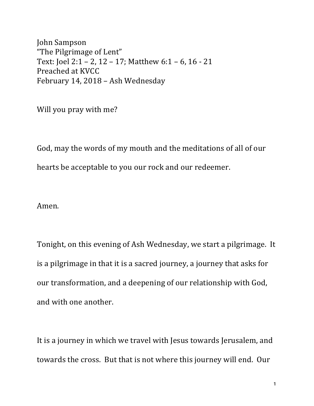John Sampson "The Pilgrimage of Lent" Text: Joel 2:1 - 2, 12 - 17; Matthew  $6:1 - 6$ , 16 - 21 Preached at KVCC February 14, 2018 - Ash Wednesday

Will you pray with me?

God, may the words of my mouth and the meditations of all of our hearts be acceptable to you our rock and our redeemer.

Amen.

Tonight, on this evening of Ash Wednesday, we start a pilgrimage. It is a pilgrimage in that it is a sacred journey, a journey that asks for our transformation, and a deepening of our relationship with God, and with one another.

It is a journey in which we travel with Jesus towards Jerusalem, and towards the cross. But that is not where this journey will end. Our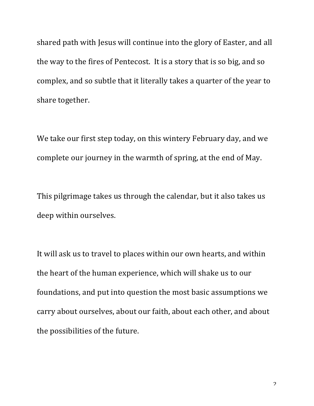shared path with Jesus will continue into the glory of Easter, and all the way to the fires of Pentecost. It is a story that is so big, and so complex, and so subtle that it literally takes a quarter of the year to share together.

We take our first step today, on this wintery February day, and we complete our journey in the warmth of spring, at the end of May.

This pilgrimage takes us through the calendar, but it also takes us deep within ourselves.

It will ask us to travel to places within our own hearts, and within the heart of the human experience, which will shake us to our foundations, and put into question the most basic assumptions we carry about ourselves, about our faith, about each other, and about the possibilities of the future.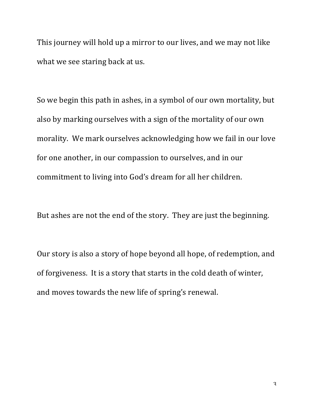This journey will hold up a mirror to our lives, and we may not like what we see staring back at us.

So we begin this path in ashes, in a symbol of our own mortality, but also by marking ourselves with a sign of the mortality of our own morality. We mark ourselves acknowledging how we fail in our love for one another, in our compassion to ourselves, and in our commitment to living into God's dream for all her children.

But ashes are not the end of the story. They are just the beginning.

Our story is also a story of hope beyond all hope, of redemption, and of forgiveness. It is a story that starts in the cold death of winter, and moves towards the new life of spring's renewal.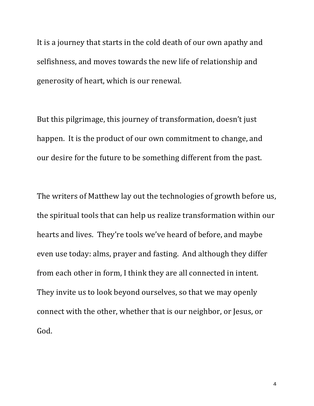It is a journey that starts in the cold death of our own apathy and selfishness, and moves towards the new life of relationship and generosity of heart, which is our renewal.

But this pilgrimage, this journey of transformation, doesn't just happen. It is the product of our own commitment to change, and our desire for the future to be something different from the past.

The writers of Matthew lay out the technologies of growth before us, the spiritual tools that can help us realize transformation within our hearts and lives. They're tools we've heard of before, and maybe even use today: alms, prayer and fasting. And although they differ from each other in form, I think they are all connected in intent. They invite us to look beyond ourselves, so that we may openly connect with the other, whether that is our neighbor, or Jesus, or God.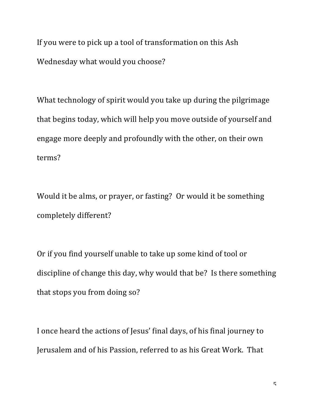If you were to pick up a tool of transformation on this Ash Wednesday what would you choose?

What technology of spirit would you take up during the pilgrimage that begins today, which will help you move outside of yourself and engage more deeply and profoundly with the other, on their own terms?

Would it be alms, or prayer, or fasting? Or would it be something completely different?

Or if you find yourself unable to take up some kind of tool or discipline of change this day, why would that be? Is there something that stops you from doing so?

I once heard the actions of Jesus' final days, of his final journey to Jerusalem and of his Passion, referred to as his Great Work. That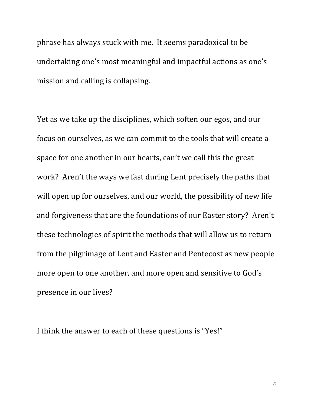phrase has always stuck with me. It seems paradoxical to be undertaking one's most meaningful and impactful actions as one's mission and calling is collapsing.

Yet as we take up the disciplines, which soften our egos, and our focus on ourselves, as we can commit to the tools that will create a space for one another in our hearts, can't we call this the great work? Aren't the ways we fast during Lent precisely the paths that will open up for ourselves, and our world, the possibility of new life and forgiveness that are the foundations of our Easter story? Aren't these technologies of spirit the methods that will allow us to return from the pilgrimage of Lent and Easter and Pentecost as new people more open to one another, and more open and sensitive to God's presence in our lives?

I think the answer to each of these questions is "Yes!"